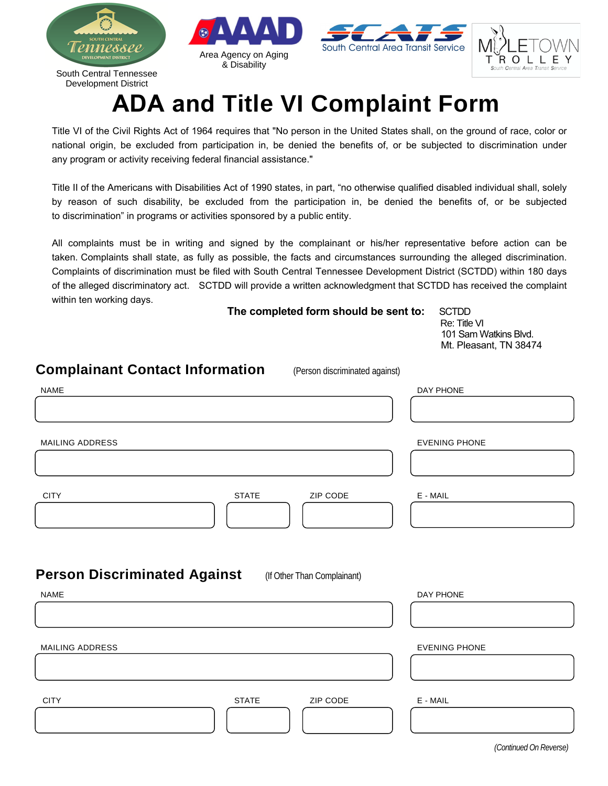

## **ADA and Title VI Complaint Form**

Title VI of the Civil Rights Act of 1964 requires that "No person in the United States shall, on the ground of race, color or national origin, be excluded from participation in, be denied the benefits of, or be subjected to discrimination under any program or activity receiving federal financial assistance."

Title II of the Americans with Disabilities Act of 1990 states, in part, "no otherwise qualified disabled individual shall, solely by reason of such disability, be excluded from the participation in, be denied the benefits of, or be subjected to discrimination" in programs or activities sponsored by a public entity.

All complaints must be in writing and signed by the complainant or his/her representative before action can be taken. Complaints shall state, as fully as possible, the facts and circumstances surrounding the alleged discrimination. Complaints of discrimination must be filed with South Central Tennessee Development District (SCTDD) within 180 days of the alleged discriminatory act. SCTDD will provide a written acknowledgment that SCTDD has received the complaint within ten working days.

**The completed form should be sent to:** SCTDD

Re: Title VI 101 Sam Watkins Blvd. Mt. Pleasant, TN 38474

| <b>Complainant Contact Information</b> | (Person discriminated against) |                      |
|----------------------------------------|--------------------------------|----------------------|
| <b>NAME</b>                            |                                | DAY PHONE            |
|                                        |                                |                      |
| MAILING ADDRESS                        |                                | <b>EVENING PHONE</b> |
|                                        |                                |                      |
| <b>CITY</b>                            | <b>STATE</b><br>ZIP CODE       | $E - MAIL$           |
| <b>Person Discriminated Against</b>    | (If Other Than Complainant)    |                      |
| <b>NAME</b>                            |                                | DAY PHONE            |
| <b>MAILING ADDRESS</b>                 |                                | <b>EVENING PHONE</b> |
|                                        |                                |                      |
| <b>CITY</b>                            | <b>STATE</b><br>ZIP CODE       | $E - MAIL$           |
|                                        |                                |                      |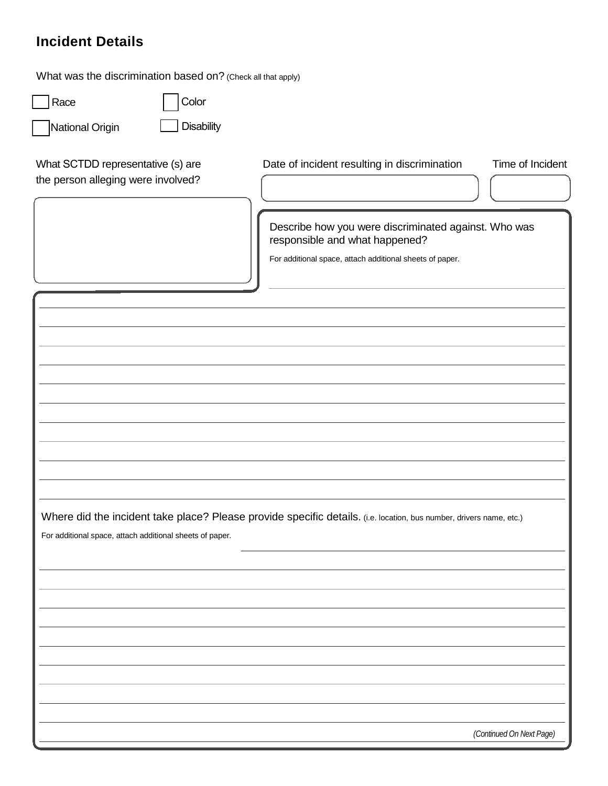## **Incident Details**

| What was the discrimination based on? (Check all that apply)                                                                                                                    |                   |                                                                                                                                                                                                    |                  |  |
|---------------------------------------------------------------------------------------------------------------------------------------------------------------------------------|-------------------|----------------------------------------------------------------------------------------------------------------------------------------------------------------------------------------------------|------------------|--|
| Race                                                                                                                                                                            | Color             |                                                                                                                                                                                                    |                  |  |
| National Origin                                                                                                                                                                 | <b>Disability</b> |                                                                                                                                                                                                    |                  |  |
| What SCTDD representative (s) are<br>the person alleging were involved?                                                                                                         |                   | Date of incident resulting in discrimination<br>Describe how you were discriminated against. Who was<br>responsible and what happened?<br>For additional space, attach additional sheets of paper. | Time of Incident |  |
|                                                                                                                                                                                 |                   |                                                                                                                                                                                                    |                  |  |
|                                                                                                                                                                                 |                   |                                                                                                                                                                                                    |                  |  |
|                                                                                                                                                                                 |                   |                                                                                                                                                                                                    |                  |  |
| Where did the incident take place? Please provide specific details. (i.e. location, bus number, drivers name, etc.)<br>For additional space, attach additional sheets of paper. |                   |                                                                                                                                                                                                    |                  |  |
|                                                                                                                                                                                 |                   |                                                                                                                                                                                                    |                  |  |
|                                                                                                                                                                                 |                   |                                                                                                                                                                                                    |                  |  |

 *(Continued On Next Page)*